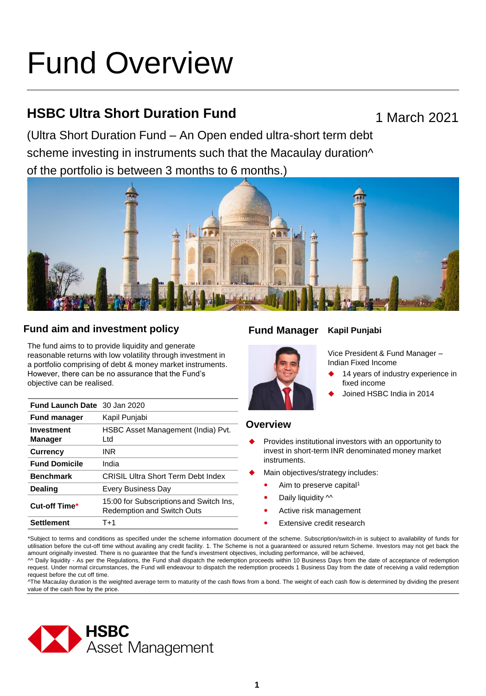# Fund Overview

## **HSBC Ultra Short Duration Fund**

1 March 2021

(Ultra Short Duration Fund – An Open ended ultra-short term debt scheme investing in instruments such that the Macaulay duration<sup> $\wedge$ </sup> of the portfolio is between 3 months to 6 months.)



### **Fund aim and investment policy Fund Manager**

The fund aims to to provide liquidity and generate reasonable returns with low volatility through investment in a portfolio comprising of debt & money market instruments. However, there can be no assurance that the Fund's objective can be realised.

| <b>Fund Launch Date</b> 30 Jan 2020 |                                                                              |
|-------------------------------------|------------------------------------------------------------------------------|
| <b>Fund manager</b>                 | Kapil Punjabi                                                                |
| Investment<br><b>Manager</b>        | HSBC Asset Management (India) Pvt.<br>Ltd                                    |
| <b>Currency</b>                     | INR                                                                          |
| <b>Fund Domicile</b>                | India                                                                        |
| <b>Benchmark</b>                    | <b>CRISIL Ultra Short Term Debt Index</b>                                    |
| <b>Dealing</b>                      | Every Business Day                                                           |
| Cut-off Time*                       | 15:00 for Subscriptions and Switch Ins,<br><b>Redemption and Switch Outs</b> |
| <b>Settlement</b>                   | T+1                                                                          |

#### **Kapil Punjabi**



Vice President & Fund Manager – Indian Fixed Income

- 14 years of industry experience in fixed income
- Joined HSBC India in 2014

#### **Overview**

- Provides institutional investors with an opportunity to invest in short-term INR denominated money market instruments.
- Main objectives/strategy includes:
	- Aim to preserve capital<sup>1</sup>
	- Daily liquidity  $\sim$
	- Active risk management
	- Extensive credit research

\*Subject to terms and conditions as specified under the scheme information document of the scheme. Subscription/switch-in is subject to availability of funds for utilisation before the cut-off time without availing any credit facility. 1. The Scheme is not a guaranteed or assured return Scheme. Investors may not get back the amount originally invested. There is no guarantee that the fund's investment objectives, including performance, will be achieved,

^^ Daily liquidity - As per the Regulations, the Fund shall dispatch the redemption proceeds within 10 Business Days from the date of acceptance of redemption request. Under normal circumstances, the Fund will endeavour to dispatch the redemption proceeds 1 Business Day from the date of receiving a valid redemption request before the cut off time.

^The Macaulay duration is the weighted average term to maturity of the cash flows from a bond. The weight of each cash flow is determined by dividing the present value of the cash flow by the price.

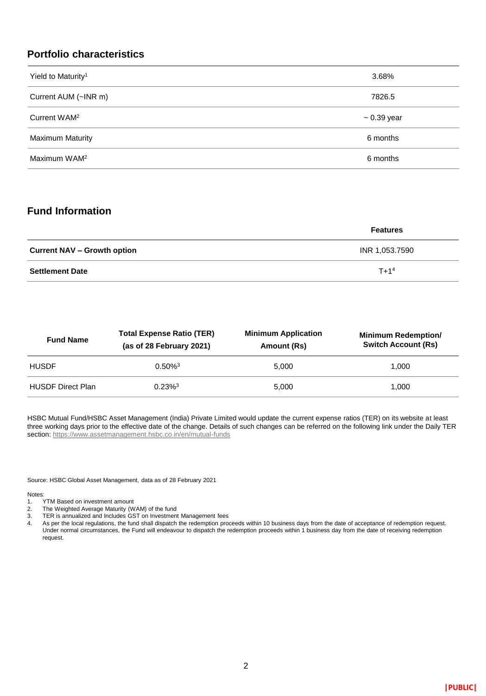#### **Portfolio characteristics**

| Yield to Maturity <sup>1</sup> | 3.68%            |
|--------------------------------|------------------|
| Current AUM (~INR m)           | 7826.5           |
| Current WAM <sup>2</sup>       | $\sim 0.39$ year |
| <b>Maximum Maturity</b>        | 6 months         |
| Maximum WAM <sup>2</sup>       | 6 months         |

#### **Fund Information**

|                                    | <b>Features</b> |
|------------------------------------|-----------------|
| <b>Current NAV – Growth option</b> | INR 1,053.7590  |
| <b>Settlement Date</b>             | $T + 14$        |

| <b>Fund Name</b>         | <b>Total Expense Ratio (TER)</b><br>(as of 28 February 2021) | <b>Minimum Application</b><br>Amount (Rs) | <b>Minimum Redemption/</b><br><b>Switch Account (Rs)</b> |
|--------------------------|--------------------------------------------------------------|-------------------------------------------|----------------------------------------------------------|
| <b>HUSDF</b>             | $0.50\%$ <sup>3</sup>                                        | 5.000                                     | 1.000                                                    |
| <b>HUSDF Direct Plan</b> | $0.23\%$ <sup>3</sup>                                        | 5.000                                     | 1.000                                                    |

HSBC Mutual Fund/HSBC Asset Management (India) Private Limited would update the current expense ratios (TER) on its website at least three working days prior to the effective date of the change. Details of such changes can be referred on the following link under the Daily TER section:<https://www.assetmanagement.hsbc.co.in/en/mutual-funds>

Source: HSBC Global Asset Management, data as of 28 February 2021

Notes:<br>1.

- TYTM Based on investment amount
- 2. The Weighted Average Maturity (WAM) of the fund
- 3. TER is annualized and Includes GST on Investment Management fees
- 4. As per the local regulations, the fund shall dispatch the redemption proceeds within 10 business days from the date of acceptance of redemption request. Under normal circumstances, the Fund will endeavour to dispatch the redemption proceeds within 1 business day from the date of receiving redemption request.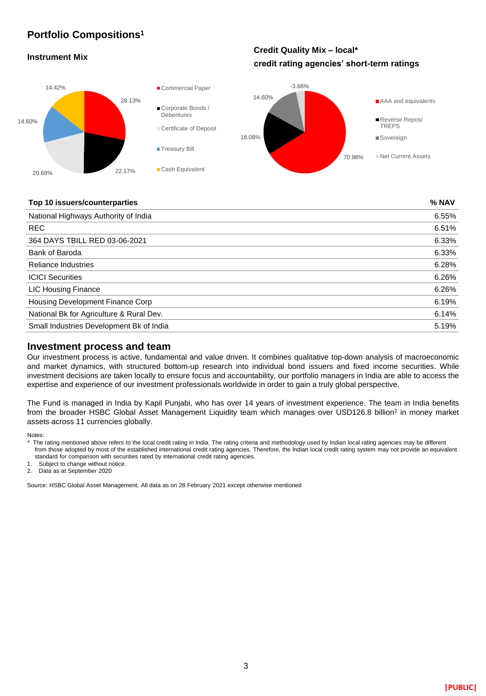#### **Portfolio Compositions<sup>1</sup>**

#### **Instrument Mix**

**Credit Quality Mix – local\* credit rating agencies' short-term ratings**



#### **Top 10 issuers/counterparties % NAV**

| National Highways Authority of India     | 6.55% |
|------------------------------------------|-------|
| <b>REC</b>                               | 6.51% |
| 364 DAYS TBILL RED 03-06-2021            | 6.33% |
| Bank of Baroda                           | 6.33% |
| <b>Reliance Industries</b>               | 6.28% |
| <b>ICICI Securities</b>                  | 6.26% |
| <b>LIC Housing Finance</b>               | 6.26% |
| Housing Development Finance Corp         | 6.19% |
| National Bk for Agriculture & Rural Dev. | 6.14% |
| Small Industries Development Bk of India | 5.19% |
|                                          |       |

#### **Investment process and team**

Our investment process is active, fundamental and value driven. It combines qualitative top-down analysis of macroeconomic and market dynamics, with structured bottom-up research into individual bond issuers and fixed income securities. While investment decisions are taken locally to ensure focus and accountability, our portfolio managers in India are able to access the expertise and experience of our investment professionals worldwide in order to gain a truly global perspective.

The Fund is managed in India by Kapil Punjabi, who has over 14 years of investment experience. The team in India benefits from the broader HSBC Global Asset Management Liquidity team which manages over USD126.8 billion<sup>2</sup> in money market assets across 11 currencies globally.

Notes:

standard for comparison with securities rated by international credit rating agencies.

Subject to change without notice.

2. Data as at September 2020

Source: HSBC Global Asset Management, All data as on 28 February 2021 except otherwise mentioned

<sup>\*</sup> The rating mentioned above refers to the local credit rating in India. The rating criteria and methodology used by Indian local rating agencies may be different from those adopted by most of the established international credit rating agencies. Therefore, the Indian local credit rating system may not provide an equivalent